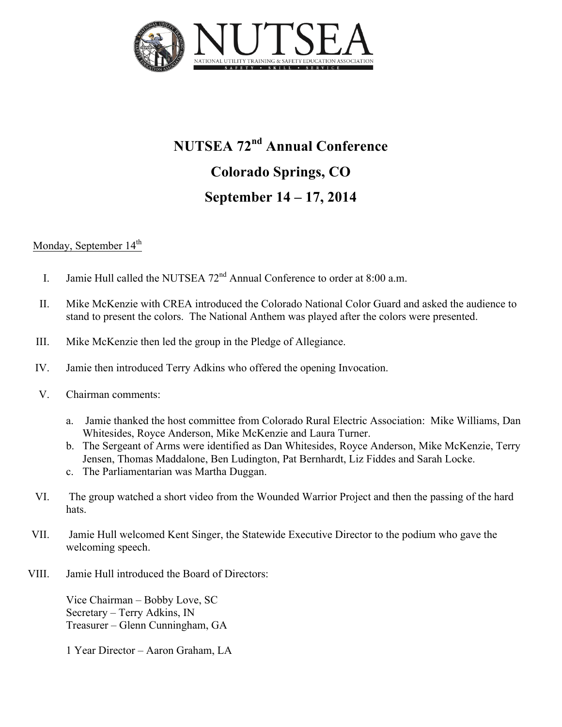

## **NUTSEA 72nd Annual Conference Colorado Springs, CO September 14 – 17, 2014**

## Monday, September  $14<sup>th</sup>$

- I. Jamie Hull called the NUTSEA  $72<sup>nd</sup>$  Annual Conference to order at 8:00 a.m.
- II. Mike McKenzie with CREA introduced the Colorado National Color Guard and asked the audience to stand to present the colors. The National Anthem was played after the colors were presented.
- III. Mike McKenzie then led the group in the Pledge of Allegiance.
- IV. Jamie then introduced Terry Adkins who offered the opening Invocation.
- V. Chairman comments:
	- a. Jamie thanked the host committee from Colorado Rural Electric Association: Mike Williams, Dan Whitesides, Royce Anderson, Mike McKenzie and Laura Turner.
	- b. The Sergeant of Arms were identified as Dan Whitesides, Royce Anderson, Mike McKenzie, Terry Jensen, Thomas Maddalone, Ben Ludington, Pat Bernhardt, Liz Fiddes and Sarah Locke.
	- c. The Parliamentarian was Martha Duggan.
- VI. The group watched a short video from the Wounded Warrior Project and then the passing of the hard hats.
- VII. Jamie Hull welcomed Kent Singer, the Statewide Executive Director to the podium who gave the welcoming speech.
- VIII. Jamie Hull introduced the Board of Directors:

Vice Chairman – Bobby Love, SC Secretary – Terry Adkins, IN Treasurer – Glenn Cunningham, GA

1 Year Director – Aaron Graham, LA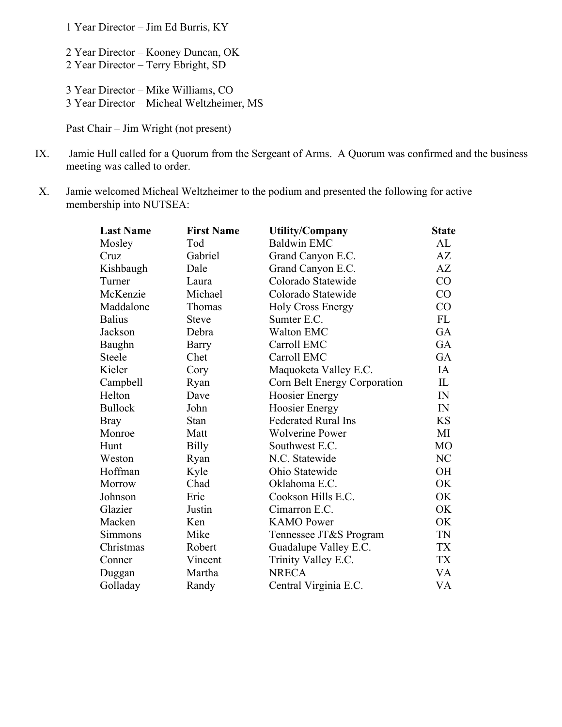1 Year Director – Jim Ed Burris, KY

2 Year Director – Kooney Duncan, OK 2 Year Director – Terry Ebright, SD

3 Year Director – Mike Williams, CO

3 Year Director – Micheal Weltzheimer, MS

Past Chair – Jim Wright (not present)

- IX. Jamie Hull called for a Quorum from the Sergeant of Arms. A Quorum was confirmed and the business meeting was called to order.
- X. Jamie welcomed Micheal Weltzheimer to the podium and presented the following for active membership into NUTSEA:

| <b>Last Name</b> | <b>First Name</b> | <b>Utility/Company</b>       | <b>State</b>   |
|------------------|-------------------|------------------------------|----------------|
| Mosley           | Tod               | <b>Baldwin EMC</b>           | AL             |
| Cruz             | Gabriel           | Grand Canyon E.C.            | AZ             |
| Kishbaugh        | Dale              | Grand Canyon E.C.            | AZ             |
| Turner           | Laura             | Colorado Statewide           | CO             |
| McKenzie         | Michael           | Colorado Statewide           | CO             |
| Maddalone        | Thomas            | <b>Holy Cross Energy</b>     | CO             |
| <b>Balius</b>    | <b>Steve</b>      | Sumter E.C.                  | FL             |
| Jackson          | Debra             | <b>Walton EMC</b>            | GA             |
| Baughn           | <b>Barry</b>      | Carroll EMC                  | GA             |
| Steele           | Chet              | Carroll EMC                  | GA             |
| Kieler           | Cory              | Maquoketa Valley E.C.        | IA             |
| Campbell         | Ryan              | Corn Belt Energy Corporation | IL             |
| Helton           | Dave              | <b>Hoosier Energy</b>        | IN             |
| <b>Bullock</b>   | John              | <b>Hoosier Energy</b>        | IN             |
| <b>Bray</b>      | Stan              | <b>Federated Rural Ins</b>   | <b>KS</b>      |
| Monroe           | Matt              | <b>Wolverine Power</b>       | MI             |
| Hunt             | Billy             | Southwest E.C.               | M <sub>O</sub> |
| Weston           | Ryan              | N.C. Statewide               | NC             |
| Hoffman          | Kyle              | Ohio Statewide               | OH             |
| Morrow           | Chad              | Oklahoma E.C.                | OK             |
| Johnson          | Eric              | Cookson Hills E.C.           | OK             |
| Glazier          | Justin            | Cimarron E.C.                | OK             |
| Macken           | Ken               | <b>KAMO</b> Power            | OK             |
| Simmons          | Mike              | Tennessee JT&S Program       | TN             |
| Christmas        | Robert            | Guadalupe Valley E.C.        | TX             |
| Conner           | Vincent           | Trinity Valley E.C.          | <b>TX</b>      |
| Duggan           | Martha            | <b>NRECA</b>                 | VA             |
| Golladay         | Randy             | Central Virginia E.C.        | VA             |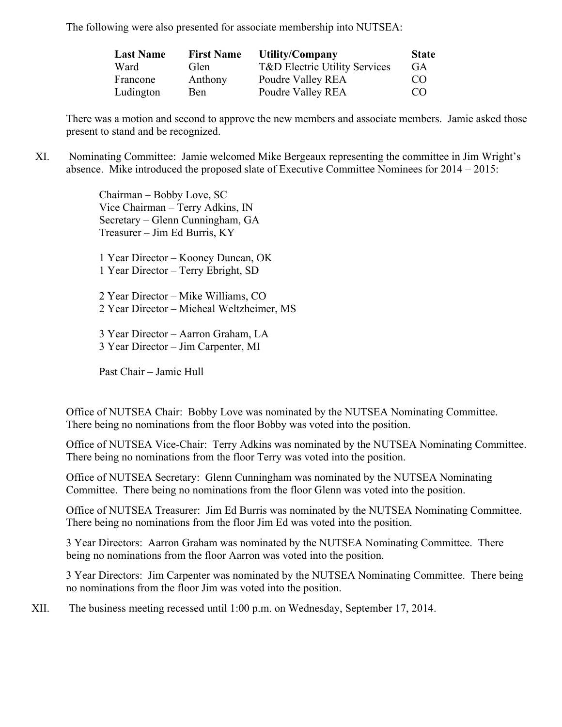The following were also presented for associate membership into NUTSEA:

| <b>Last Name</b> | <b>First Name</b> | Utility/Company                          | <b>State</b> |
|------------------|-------------------|------------------------------------------|--------------|
| Ward             | Glen              | <b>T&amp;D Electric Utility Services</b> | GA           |
| Francone         | Anthony           | Poudre Valley REA                        | CO.          |
| Ludington        | Ben               | Poudre Valley REA                        | CO           |

There was a motion and second to approve the new members and associate members. Jamie asked those present to stand and be recognized.

XI. Nominating Committee: Jamie welcomed Mike Bergeaux representing the committee in Jim Wright's absence. Mike introduced the proposed slate of Executive Committee Nominees for 2014 – 2015:

> Chairman – Bobby Love, SC Vice Chairman – Terry Adkins, IN Secretary – Glenn Cunningham, GA Treasurer – Jim Ed Burris, KY

1 Year Director – Kooney Duncan, OK 1 Year Director – Terry Ebright, SD

2 Year Director – Mike Williams, CO 2 Year Director – Micheal Weltzheimer, MS

3 Year Director – Aarron Graham, LA 3 Year Director – Jim Carpenter, MI

Past Chair – Jamie Hull

Office of NUTSEA Chair: Bobby Love was nominated by the NUTSEA Nominating Committee. There being no nominations from the floor Bobby was voted into the position.

Office of NUTSEA Vice-Chair: Terry Adkins was nominated by the NUTSEA Nominating Committee. There being no nominations from the floor Terry was voted into the position.

Office of NUTSEA Secretary: Glenn Cunningham was nominated by the NUTSEA Nominating Committee. There being no nominations from the floor Glenn was voted into the position.

Office of NUTSEA Treasurer: Jim Ed Burris was nominated by the NUTSEA Nominating Committee. There being no nominations from the floor Jim Ed was voted into the position.

3 Year Directors: Aarron Graham was nominated by the NUTSEA Nominating Committee. There being no nominations from the floor Aarron was voted into the position.

3 Year Directors: Jim Carpenter was nominated by the NUTSEA Nominating Committee. There being no nominations from the floor Jim was voted into the position.

XII. The business meeting recessed until 1:00 p.m. on Wednesday, September 17, 2014.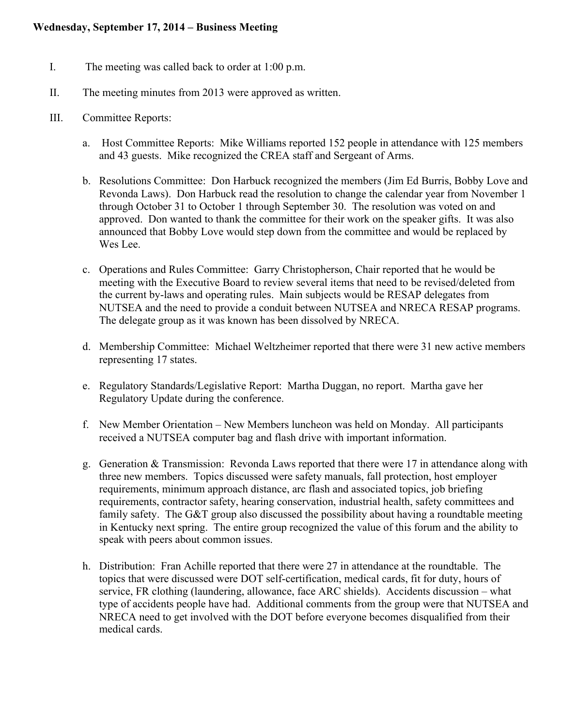- I. The meeting was called back to order at 1:00 p.m.
- II. The meeting minutes from 2013 were approved as written.
- III. Committee Reports:
	- a. Host Committee Reports: Mike Williams reported 152 people in attendance with 125 members and 43 guests. Mike recognized the CREA staff and Sergeant of Arms.
	- b. Resolutions Committee: Don Harbuck recognized the members (Jim Ed Burris, Bobby Love and Revonda Laws). Don Harbuck read the resolution to change the calendar year from November 1 through October 31 to October 1 through September 30. The resolution was voted on and approved. Don wanted to thank the committee for their work on the speaker gifts. It was also announced that Bobby Love would step down from the committee and would be replaced by Wes Lee.
	- c. Operations and Rules Committee: Garry Christopherson, Chair reported that he would be meeting with the Executive Board to review several items that need to be revised/deleted from the current by-laws and operating rules. Main subjects would be RESAP delegates from NUTSEA and the need to provide a conduit between NUTSEA and NRECA RESAP programs. The delegate group as it was known has been dissolved by NRECA.
	- d. Membership Committee: Michael Weltzheimer reported that there were 31 new active members representing 17 states.
	- e. Regulatory Standards/Legislative Report: Martha Duggan, no report. Martha gave her Regulatory Update during the conference.
	- f. New Member Orientation New Members luncheon was held on Monday. All participants received a NUTSEA computer bag and flash drive with important information.
	- g. Generation & Transmission: Revonda Laws reported that there were 17 in attendance along with three new members. Topics discussed were safety manuals, fall protection, host employer requirements, minimum approach distance, arc flash and associated topics, job briefing requirements, contractor safety, hearing conservation, industrial health, safety committees and family safety. The G&T group also discussed the possibility about having a roundtable meeting in Kentucky next spring. The entire group recognized the value of this forum and the ability to speak with peers about common issues.
	- h. Distribution: Fran Achille reported that there were 27 in attendance at the roundtable. The topics that were discussed were DOT self-certification, medical cards, fit for duty, hours of service, FR clothing (laundering, allowance, face ARC shields). Accidents discussion – what type of accidents people have had. Additional comments from the group were that NUTSEA and NRECA need to get involved with the DOT before everyone becomes disqualified from their medical cards.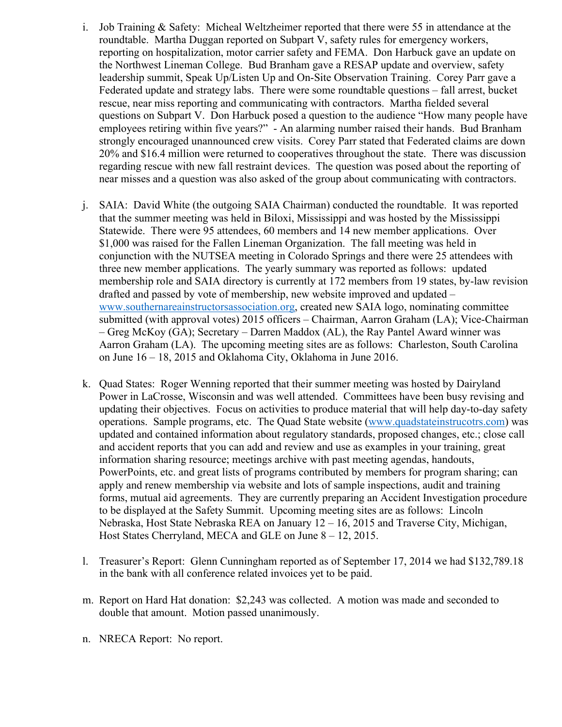- i. Job Training & Safety: Micheal Weltzheimer reported that there were 55 in attendance at the roundtable. Martha Duggan reported on Subpart V, safety rules for emergency workers, reporting on hospitalization, motor carrier safety and FEMA. Don Harbuck gave an update on the Northwest Lineman College. Bud Branham gave a RESAP update and overview, safety leadership summit, Speak Up/Listen Up and On-Site Observation Training. Corey Parr gave a Federated update and strategy labs. There were some roundtable questions – fall arrest, bucket rescue, near miss reporting and communicating with contractors. Martha fielded several questions on Subpart V. Don Harbuck posed a question to the audience "How many people have employees retiring within five years?" - An alarming number raised their hands. Bud Branham strongly encouraged unannounced crew visits. Corey Parr stated that Federated claims are down 20% and \$16.4 million were returned to cooperatives throughout the state. There was discussion regarding rescue with new fall restraint devices. The question was posed about the reporting of near misses and a question was also asked of the group about communicating with contractors.
- j. SAIA: David White (the outgoing SAIA Chairman) conducted the roundtable. It was reported that the summer meeting was held in Biloxi, Mississippi and was hosted by the Mississippi Statewide. There were 95 attendees, 60 members and 14 new member applications. Over \$1,000 was raised for the Fallen Lineman Organization. The fall meeting was held in conjunction with the NUTSEA meeting in Colorado Springs and there were 25 attendees with three new member applications. The yearly summary was reported as follows: updated membership role and SAIA directory is currently at 172 members from 19 states, by-law revision drafted and passed by vote of membership, new website improved and updated – www.southernareainstructorsassociation.org, created new SAIA logo, nominating committee submitted (with approval votes) 2015 officers – Chairman, Aarron Graham (LA); Vice-Chairman – Greg McKoy (GA); Secretary – Darren Maddox (AL), the Ray Pantel Award winner was Aarron Graham (LA). The upcoming meeting sites are as follows: Charleston, South Carolina on June 16 – 18, 2015 and Oklahoma City, Oklahoma in June 2016.
- k. Quad States: Roger Wenning reported that their summer meeting was hosted by Dairyland Power in LaCrosse, Wisconsin and was well attended. Committees have been busy revising and updating their objectives. Focus on activities to produce material that will help day-to-day safety operations. Sample programs, etc. The Quad State website (www.quadstateinstrucotrs.com) was updated and contained information about regulatory standards, proposed changes, etc.; close call and accident reports that you can add and review and use as examples in your training, great information sharing resource; meetings archive with past meeting agendas, handouts, PowerPoints, etc. and great lists of programs contributed by members for program sharing; can apply and renew membership via website and lots of sample inspections, audit and training forms, mutual aid agreements. They are currently preparing an Accident Investigation procedure to be displayed at the Safety Summit. Upcoming meeting sites are as follows: Lincoln Nebraska, Host State Nebraska REA on January 12 – 16, 2015 and Traverse City, Michigan, Host States Cherryland, MECA and GLE on June 8 – 12, 2015.
- l. Treasurer's Report: Glenn Cunningham reported as of September 17, 2014 we had \$132,789.18 in the bank with all conference related invoices yet to be paid.
- m. Report on Hard Hat donation: \$2,243 was collected. A motion was made and seconded to double that amount. Motion passed unanimously.
- n. NRECA Report: No report.